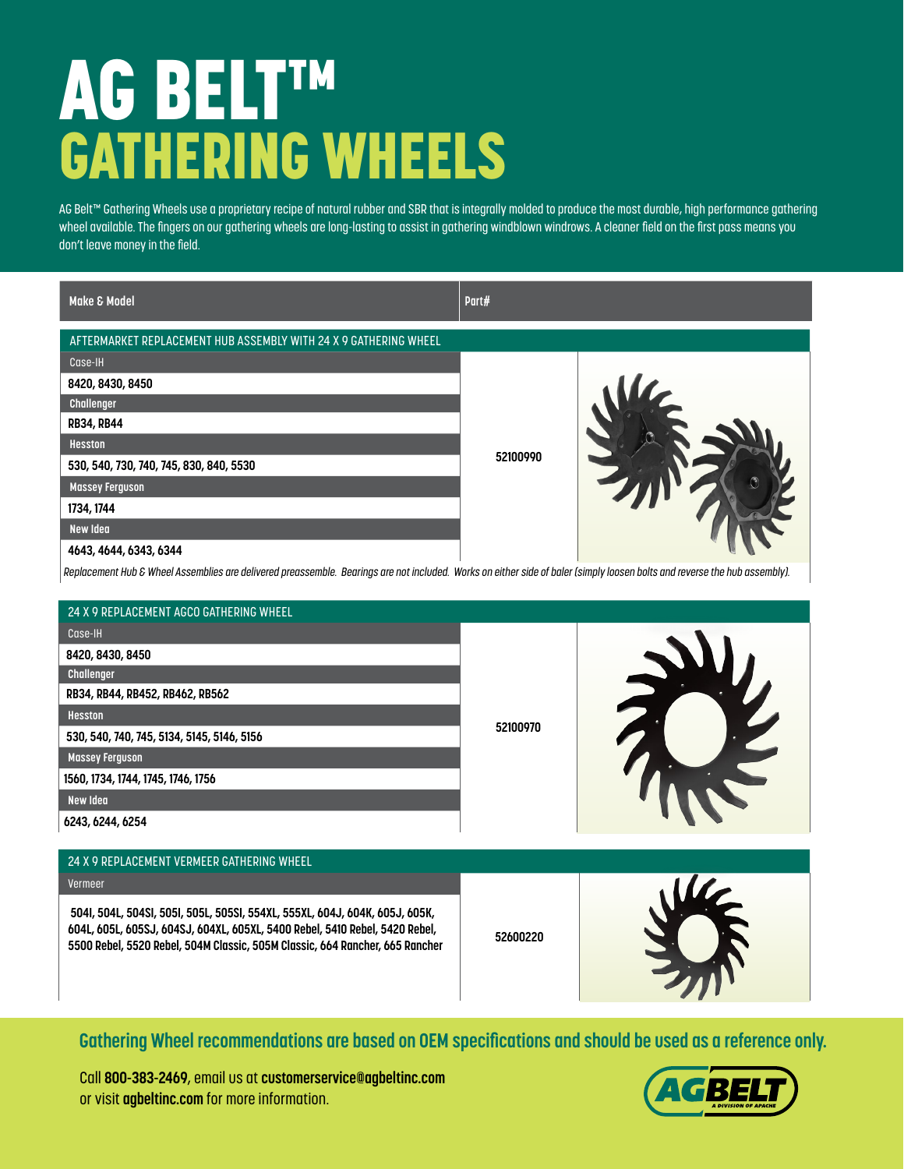## AG BELT™ GATHERING WHEELS

AG Belt™ Gathering Wheels use a proprietary recipe of natural rubber and SBR that is integrally molded to produce the most durable, high performance gathering wheel available. The fingers on our gathering wheels are long-lasting to assist in gathering windblown windrows. A cleaner field on the first pass means you don't leave money in the field.

| Make & Model                                                                                                                                                               | Part#    |  |  |
|----------------------------------------------------------------------------------------------------------------------------------------------------------------------------|----------|--|--|
| AFTERMARKET REPLACEMENT HUB ASSEMBLY WITH 24 X 9 GATHERING WHEEL                                                                                                           |          |  |  |
| Case-IH                                                                                                                                                                    |          |  |  |
| 8420, 8430, 8450                                                                                                                                                           |          |  |  |
| Challenger                                                                                                                                                                 |          |  |  |
| <b>RB34, RB44</b>                                                                                                                                                          |          |  |  |
| <b>Hesston</b>                                                                                                                                                             |          |  |  |
| 530, 540, 730, 740, 745, 830, 840, 5530                                                                                                                                    | 52100990 |  |  |
| <b>Massey Ferguson</b>                                                                                                                                                     |          |  |  |
| 1734, 1744                                                                                                                                                                 |          |  |  |
| <b>New Idea</b>                                                                                                                                                            |          |  |  |
| 4643, 4644, 6343, 6344                                                                                                                                                     |          |  |  |
| Replacement Hub & Wheel Assemblies are delivered preassemble. Bearings are not included. Works on either side of baler (simply loosen bolts and reverse the hub assembly). |          |  |  |
|                                                                                                                                                                            |          |  |  |
| 24 X 9 REPLACEMENT AGCO GATHERING WHEEL                                                                                                                                    |          |  |  |
| Case-IH                                                                                                                                                                    |          |  |  |
| 8420, 8430, 8450                                                                                                                                                           |          |  |  |
| Challenger                                                                                                                                                                 |          |  |  |
| RB34, RB44, RB452, RB462, RB562                                                                                                                                            |          |  |  |
| <b>Hesston</b>                                                                                                                                                             | 52100970 |  |  |
| 530, 540, 740, 745, 5134, 5145, 5146, 5156                                                                                                                                 |          |  |  |
| <b>Massey Ferguson</b>                                                                                                                                                     |          |  |  |
| 1560, 1734, 1744, 1745, 1746, 1756                                                                                                                                         |          |  |  |
| New Idea                                                                                                                                                                   |          |  |  |
| 6243, 6244, 6254                                                                                                                                                           |          |  |  |
|                                                                                                                                                                            |          |  |  |
| 24 X 9 REPLACEMENT VERMEER GATHERING WHEEL                                                                                                                                 |          |  |  |
| Vermeer                                                                                                                                                                    | 52600220 |  |  |
| 5041, 504L, 504SI, 505I, 505L, 505SI, 554XL, 555XL, 604J, 604K, 605J, 605K,                                                                                                |          |  |  |
| 604L, 605L, 605SJ, 604SJ, 604XL, 605XL, 5400 Rebel, 5410 Rebel, 5420 Rebel,                                                                                                |          |  |  |
| 5500 Rebel, 5520 Rebel, 504M Classic, 505M Classic, 664 Rancher, 665 Rancher                                                                                               |          |  |  |
|                                                                                                                                                                            |          |  |  |
|                                                                                                                                                                            |          |  |  |
|                                                                                                                                                                            |          |  |  |

**Gathering Wheel recommendations are based on OEM specifications and should be used as a reference only.**

Call **800-383-2469**, email us at **customerservice@agbeltinc.com** or visit **agbeltinc.com** for more information.